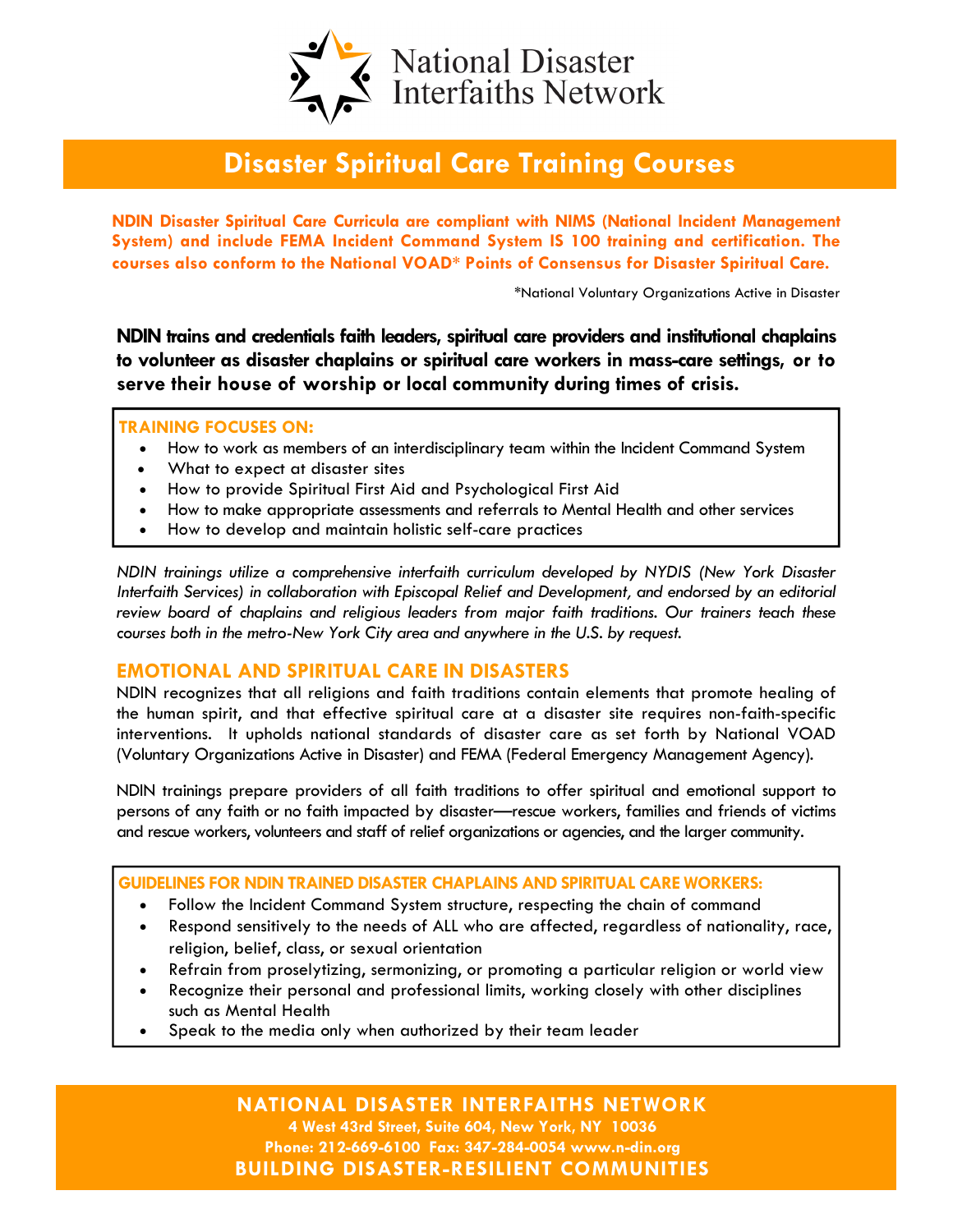

# Disaster Spiritual Care Training Courses

NDIN Disaster Spiritual Care Curricula are compliant with NIMS (National Incident Management System) and include FEMA Incident Command System IS 100 training and certification. The courses also conform to the National VOAD\* Points of Consensus for Disaster Spiritual Care.

\*National Voluntary Organizations Active in Disaster

NDIN trains and credentials faith leaders, spiritual care providers and institutional chaplains to volunteer as disaster chaplains or spiritual care workers in mass-care settings, or to serve their house of worship or local community during times of crisis.

#### TRAINING FOCUSES ON:

- How to work as members of an interdisciplinary team within the Incident Command System
- What to expect at disaster sites
- How to provide Spiritual First Aid and Psychological First Aid
- How to make appropriate assessments and referrals to Mental Health and other services
- How to develop and maintain holistic self-care practices

NDIN trainings utilize a comprehensive interfaith curriculum developed by NYDIS (New York Disaster Interfaith Services) in collaboration with Episcopal Relief and Development, and endorsed by an editorial review board of chaplains and religious leaders from major faith traditions. Our trainers teach these courses both in the metro-New York City area and anywhere in the U.S. by request.

#### EMOTIONAL AND SPIRITUAL CARE IN DISASTERS

NDIN recognizes that all religions and faith traditions contain elements that promote healing of the human spirit, and that effective spiritual care at a disaster site requires non-faith-specific interventions. It upholds national standards of disaster care as set forth by National VOAD (Voluntary Organizations Active in Disaster) and FEMA (Federal Emergency Management Agency).

NDIN trainings prepare providers of all faith traditions to offer spiritual and emotional support to persons of any faith or no faith impacted by disaster—rescue workers, families and friends of victims and rescue workers, volunteers and staff of relief organizations or agencies, and the larger community.

GUIDELINES FOR NDIN TRAINED DISASTER CHAPLAINS AND SPIRITUAL CARE WORKERS:

- Follow the Incident Command System structure, respecting the chain of command
- Respond sensitively to the needs of ALL who are affected, regardless of nationality, race, religion, belief, class, or sexual orientation
- Refrain from proselytizing, sermonizing, or promoting a particular religion or world view
- Recognize their personal and professional limits, working closely with other disciplines such as Mental Health
- Speak to the media only when authorized by their team leader

NATIONAL DISASTER INTERFAITHS NETWORK 4 West 43rd Street, Suite 604, New York, NY 10036 Phone: 212-669-6100 Fax: 347-284-0054 www.n-din.org BUILDING DISASTER-RESILIENT COMMUNITIES